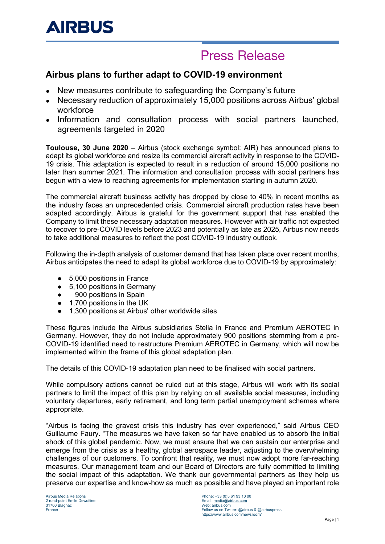# **Press Release**

### **Airbus plans to further adapt to COVID-19 environment**

- New measures contribute to safeguarding the Company's future
- Necessary reduction of approximately 15,000 positions across Airbus' global workforce
- Information and consultation process with social partners launched, agreements targeted in 2020

**Toulouse, 30 June 2020** – Airbus (stock exchange symbol: AIR) has announced plans to adapt its global workforce and resize its commercial aircraft activity in response to the COVID-19 crisis. This adaptation is expected to result in a reduction of around 15,000 positions no later than summer 2021. The information and consultation process with social partners has begun with a view to reaching agreements for implementation starting in autumn 2020.

The commercial aircraft business activity has dropped by close to 40% in recent months as the industry faces an unprecedented crisis. Commercial aircraft production rates have been adapted accordingly. Airbus is grateful for the government support that has enabled the Company to limit these necessary adaptation measures. However with air traffic not expected to recover to pre-COVID levels before 2023 and potentially as late as 2025, Airbus now needs to take additional measures to reflect the post COVID-19 industry outlook.

Following the in-depth analysis of customer demand that has taken place over recent months, Airbus anticipates the need to adapt its global workforce due to COVID-19 by approximately:

- 5,000 positions in France
- 5.100 positions in Germany
- 900 positions in Spain
- 1,700 positions in the UK
- 1,300 positions at Airbus' other worldwide sites

These figures include the Airbus subsidiaries Stelia in France and Premium AEROTEC in Germany. However, they do not include approximately 900 positions stemming from a pre-COVID-19 identified need to restructure Premium AEROTEC in Germany, which will now be implemented within the frame of this global adaptation plan.

The details of this COVID-19 adaptation plan need to be finalised with social partners.

While compulsory actions cannot be ruled out at this stage, Airbus will work with its social partners to limit the impact of this plan by relying on all available social measures, including voluntary departures, early retirement, and long term partial unemployment schemes where appropriate.

"Airbus is facing the gravest crisis this industry has ever experienced," said Airbus CEO Guillaume Faury. "The measures we have taken so far have enabled us to absorb the initial shock of this global pandemic. Now, we must ensure that we can sustain our enterprise and emerge from the crisis as a healthy, global aerospace leader, adjusting to the overwhelming challenges of our customers. To confront that reality, we must now adopt more far-reaching measures. Our management team and our Board of Directors are fully committed to limiting the social impact of this adaptation. We thank our governmental partners as they help us preserve our expertise and know-how as much as possible and have played an important role